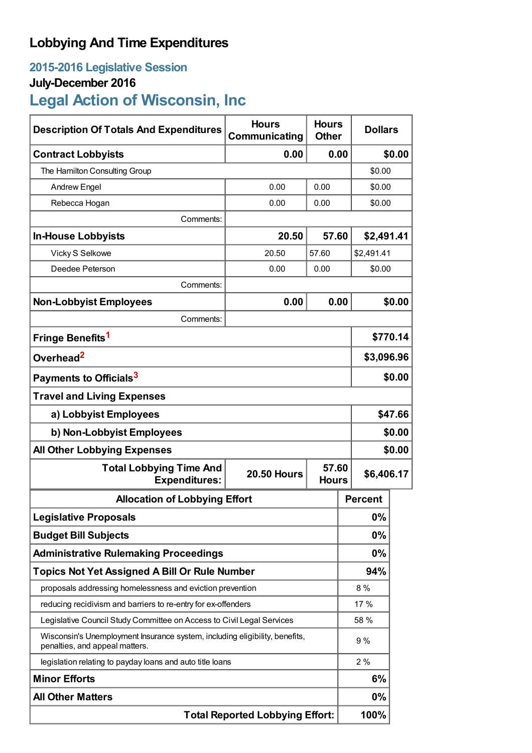# **Lobbying And Time Expenditures**

## **2015-2016 Legislative Session**

## **July-December 2016**

# **Legal Action of Wisconsin, Inc**

| <b>Description Of Totals And Expenditures</b>                                                                 | <b>Hours</b><br>Communicating | <b>Hours</b><br><b>Other</b> | <b>Dollars</b> |         |  |
|---------------------------------------------------------------------------------------------------------------|-------------------------------|------------------------------|----------------|---------|--|
| <b>Contract Lobbyists</b>                                                                                     | 0.00                          | 0.00                         |                | \$0.00  |  |
| The Hamilton Consulting Group                                                                                 |                               |                              | \$0.00         |         |  |
| <b>Andrew Engel</b>                                                                                           | 0.00                          | 0.00                         | \$0.00         |         |  |
| Rebecca Hogan                                                                                                 | 0.00                          | 0.00                         | \$0.00         |         |  |
| Comments:                                                                                                     |                               |                              |                |         |  |
| <b>In-House Lobbyists</b>                                                                                     | 20.50                         | 57.60                        | \$2,491.41     |         |  |
| Vicky S Selkowe                                                                                               | 20.50                         | 57.60                        | \$2,491.41     |         |  |
| Deedee Peterson                                                                                               | 0.00                          | 0.00                         | \$0.00         |         |  |
| Comments:                                                                                                     |                               |                              |                |         |  |
| <b>Non-Lobbyist Employees</b>                                                                                 | 0.00                          | 0.00                         |                | \$0.00  |  |
| Comments:                                                                                                     |                               |                              |                |         |  |
| Fringe Benefits <sup>1</sup>                                                                                  |                               |                              | \$770.14       |         |  |
| Overhead <sup>2</sup>                                                                                         |                               |                              | \$3,096.96     |         |  |
| Payments to Officials <sup>3</sup>                                                                            |                               |                              |                | \$0.00  |  |
| <b>Travel and Living Expenses</b>                                                                             |                               |                              |                |         |  |
| a) Lobbyist Employees                                                                                         |                               |                              |                | \$47.66 |  |
| b) Non-Lobbyist Employees                                                                                     |                               |                              |                | \$0.00  |  |
| <b>All Other Lobbying Expenses</b>                                                                            |                               |                              |                | \$0.00  |  |
| <b>Total Lobbying Time And</b><br><b>Expenditures:</b>                                                        | <b>20.50 Hours</b>            | 57.60<br><b>Hours</b>        | \$6,406.17     |         |  |
| <b>Allocation of Lobbying Effort</b>                                                                          |                               |                              | <b>Percent</b> |         |  |
| <b>Legislative Proposals</b>                                                                                  |                               |                              | 0%             |         |  |
| <b>Budget Bill Subjects</b>                                                                                   |                               |                              | $0\%$          |         |  |
| <b>Administrative Rulemaking Proceedings</b>                                                                  |                               |                              | $0\%$          |         |  |
| <b>Topics Not Yet Assigned A Bill Or Rule Number</b>                                                          |                               |                              | 94%            |         |  |
| proposals addressing homelessness and eviction prevention                                                     |                               |                              | 8%             |         |  |
| reducing recidivism and barriers to re-entry for ex-offenders                                                 |                               |                              | 17 %           |         |  |
| Legislative Council Study Committee on Access to Civil Legal Services                                         |                               |                              | 58 %           |         |  |
| Wisconsin's Unemployment Insurance system, including eligibility, benefits,<br>penalties, and appeal matters. |                               |                              | 9%             |         |  |
| legislation relating to payday loans and auto title loans                                                     |                               |                              | 2%             |         |  |
| <b>Minor Efforts</b>                                                                                          |                               |                              | 6%             |         |  |
| <b>All Other Matters</b>                                                                                      |                               |                              | $0\%$          |         |  |
| <b>Total Reported Lobbying Effort:</b>                                                                        |                               |                              | 100%           |         |  |